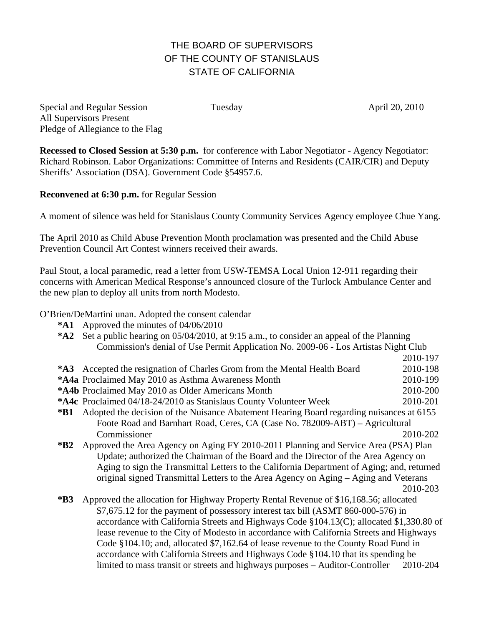## THE BOARD OF SUPERVISORS OF THE COUNTY OF STANISLAUS STATE OF CALIFORNIA

Special and Regular Session Tuesday April 20, 2010 All Supervisors Present Pledge of Allegiance to the Flag

**Recessed to Closed Session at 5:30 p.m.** for conference with Labor Negotiator - Agency Negotiator: Richard Robinson. Labor Organizations: Committee of Interns and Residents (CAIR/CIR) and Deputy Sheriffs' Association (DSA). Government Code §54957.6.

**Reconvened at 6:30 p.m.** for Regular Session

A moment of silence was held for Stanislaus County Community Services Agency employee Chue Yang.

The April 2010 as Child Abuse Prevention Month proclamation was presented and the Child Abuse Prevention Council Art Contest winners received their awards.

Paul Stout, a local paramedic, read a letter from USW-TEMSA Local Union 12-911 regarding their concerns with American Medical Response's announced closure of the Turlock Ambulance Center and the new plan to deploy all units from north Modesto.

O'Brien/DeMartini unan. Adopted the consent calendar

- **\*A1** Approved the minutes of 04/06/2010
- **\*A2** Set a public hearing on 05/04/2010, at 9:15 a.m., to consider an appeal of the Planning Commission's denial of Use Permit Application No. 2009-06 - Los Artistas Night Club 2010-197 **\*A3** Accepted the resignation of Charles Grom from the Mental Health Board 2010-198 **\*A4a** Proclaimed May 2010 as Asthma Awareness Month 2010-199 **\*A4b** Proclaimed May 2010 as Older Americans Month 2010-200 **\*A4c** Proclaimed 04/18-24/2010 as Stanislaus County Volunteer Week 2010-201 **\*B1** Adopted the decision of the Nuisance Abatement Hearing Board regarding nuisances at 6155 Foote Road and Barnhart Road, Ceres, CA (Case No. 782009-ABT) – Agricultural Commissioner 2010-202 **\*B2** Approved the Area Agency on Aging FY 2010-2011 Planning and Service Area (PSA) Plan Update; authorized the Chairman of the Board and the Director of the Area Agency on Aging to sign the Transmittal Letters to the California Department of Aging; and, returned original signed Transmittal Letters to the Area Agency on Aging – Aging and Veterans 2010-203 **\*B3** Approved the allocation for Highway Property Rental Revenue of \$16,168.56; allocated \$7,675.12 for the payment of possessory interest tax bill (ASMT 860-000-576) in

accordance with California Streets and Highways Code §104.13(C); allocated \$1,330.80 of lease revenue to the City of Modesto in accordance with California Streets and Highways Code §104.10; and, allocated \$7,162.64 of lease revenue to the County Road Fund in accordance with California Streets and Highways Code §104.10 that its spending be limited to mass transit or streets and highways purposes – Auditor-Controller 2010-204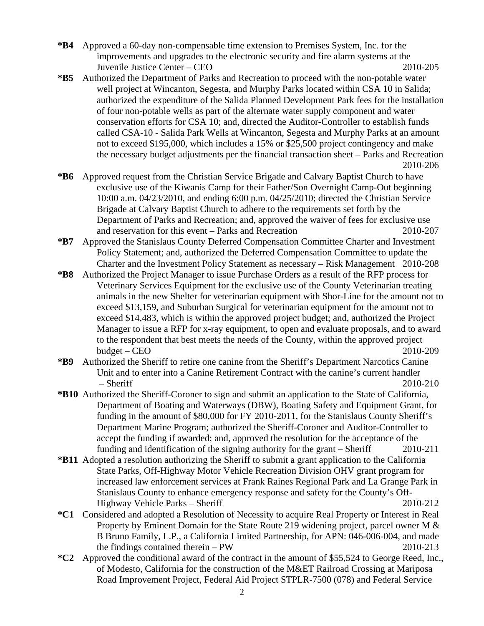- **\*B4** Approved a 60-day non-compensable time extension to Premises System, Inc. for the improvements and upgrades to the electronic security and fire alarm systems at the Juvenile Justice Center – CEO 2010-205
- **\*B5** Authorized the Department of Parks and Recreation to proceed with the non-potable water well project at Wincanton, Segesta, and Murphy Parks located within CSA 10 in Salida; authorized the expenditure of the Salida Planned Development Park fees for the installation of four non-potable wells as part of the alternate water supply component and water conservation efforts for CSA 10; and, directed the Auditor-Controller to establish funds called CSA-10 - Salida Park Wells at Wincanton, Segesta and Murphy Parks at an amount not to exceed \$195,000, which includes a 15% or \$25,500 project contingency and make the necessary budget adjustments per the financial transaction sheet – Parks and Recreation 2010-206
- **\*B6** Approved request from the Christian Service Brigade and Calvary Baptist Church to have exclusive use of the Kiwanis Camp for their Father/Son Overnight Camp-Out beginning 10:00 a.m. 04/23/2010, and ending 6:00 p.m. 04/25/2010; directed the Christian Service Brigade at Calvary Baptist Church to adhere to the requirements set forth by the Department of Parks and Recreation; and, approved the waiver of fees for exclusive use and reservation for this event – Parks and Recreation 2010-207
- **\*B7** Approved the Stanislaus County Deferred Compensation Committee Charter and Investment Policy Statement; and, authorized the Deferred Compensation Committee to update the Charter and the Investment Policy Statement as necessary – Risk Management 2010-208
- **\*B8** Authorized the Project Manager to issue Purchase Orders as a result of the RFP process for Veterinary Services Equipment for the exclusive use of the County Veterinarian treating animals in the new Shelter for veterinarian equipment with Shor-Line for the amount not to exceed \$13,159, and Suburban Surgical for veterinarian equipment for the amount not to exceed \$14,483, which is within the approved project budget; and, authorized the Project Manager to issue a RFP for x-ray equipment, to open and evaluate proposals, and to award to the respondent that best meets the needs of the County, within the approved project budget – CEO 2010-209
- **\*B9** Authorized the Sheriff to retire one canine from the Sheriff's Department Narcotics Canine Unit and to enter into a Canine Retirement Contract with the canine's current handler – Sheriff 2010-210
- **\*B10** Authorized the Sheriff-Coroner to sign and submit an application to the State of California, Department of Boating and Waterways (DBW), Boating Safety and Equipment Grant, for funding in the amount of \$80,000 for FY 2010-2011, for the Stanislaus County Sheriff's Department Marine Program; authorized the Sheriff-Coroner and Auditor-Controller to accept the funding if awarded; and, approved the resolution for the acceptance of the funding and identification of the signing authority for the grant – Sheriff 2010-211
- **\*B11** Adopted a resolution authorizing the Sheriff to submit a grant application to the California State Parks, Off-Highway Motor Vehicle Recreation Division OHV grant program for increased law enforcement services at Frank Raines Regional Park and La Grange Park in Stanislaus County to enhance emergency response and safety for the County's Off-Highway Vehicle Parks – Sheriff 2010-212
- **\*C1** Considered and adopted a Resolution of Necessity to acquire Real Property or Interest in Real Property by Eminent Domain for the State Route 219 widening project, parcel owner M & B Bruno Family, L.P., a California Limited Partnership, for APN: 046-006-004, and made the findings contained therein – PW 2010-213
- **\*C2** Approved the conditional award of the contract in the amount of \$55,524 to George Reed, Inc., of Modesto, California for the construction of the M&ET Railroad Crossing at Mariposa Road Improvement Project, Federal Aid Project STPLR-7500 (078) and Federal Service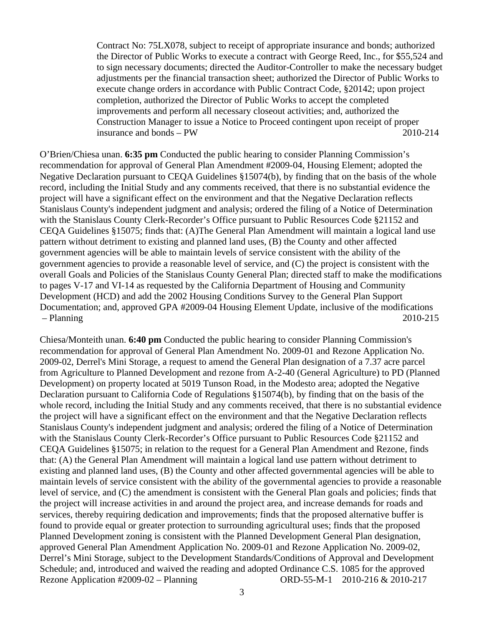Contract No: 75LX078, subject to receipt of appropriate insurance and bonds; authorized the Director of Public Works to execute a contract with George Reed, Inc., for \$55,524 and to sign necessary documents; directed the Auditor-Controller to make the necessary budget adjustments per the financial transaction sheet; authorized the Director of Public Works to execute change orders in accordance with Public Contract Code, §20142; upon project completion, authorized the Director of Public Works to accept the completed improvements and perform all necessary closeout activities; and, authorized the Construction Manager to issue a Notice to Proceed contingent upon receipt of proper insurance and bonds – PW  $2010-214$ 

O'Brien/Chiesa unan. **6:35 pm** Conducted the public hearing to consider Planning Commission's recommendation for approval of General Plan Amendment #2009-04, Housing Element; adopted the Negative Declaration pursuant to CEQA Guidelines §15074(b), by finding that on the basis of the whole record, including the Initial Study and any comments received, that there is no substantial evidence the project will have a significant effect on the environment and that the Negative Declaration reflects Stanislaus County's independent judgment and analysis; ordered the filing of a Notice of Determination with the Stanislaus County Clerk-Recorder's Office pursuant to Public Resources Code §21152 and CEQA Guidelines §15075; finds that: (A)The General Plan Amendment will maintain a logical land use pattern without detriment to existing and planned land uses, (B) the County and other affected government agencies will be able to maintain levels of service consistent with the ability of the government agencies to provide a reasonable level of service, and (C) the project is consistent with the overall Goals and Policies of the Stanislaus County General Plan; directed staff to make the modifications to pages V-17 and VI-14 as requested by the California Department of Housing and Community Development (HCD) and add the 2002 Housing Conditions Survey to the General Plan Support Documentation; and, approved GPA #2009-04 Housing Element Update, inclusive of the modifications – Planning 2010-215

Chiesa/Monteith unan. **6:40 pm** Conducted the public hearing to consider Planning Commission's recommendation for approval of General Plan Amendment No. 2009-01 and Rezone Application No. 2009-02, Derrel's Mini Storage, a request to amend the General Plan designation of a 7.37 acre parcel from Agriculture to Planned Development and rezone from A-2-40 (General Agriculture) to PD (Planned Development) on property located at 5019 Tunson Road, in the Modesto area; adopted the Negative Declaration pursuant to California Code of Regulations §15074(b), by finding that on the basis of the whole record, including the Initial Study and any comments received, that there is no substantial evidence the project will have a significant effect on the environment and that the Negative Declaration reflects Stanislaus County's independent judgment and analysis; ordered the filing of a Notice of Determination with the Stanislaus County Clerk-Recorder's Office pursuant to Public Resources Code §21152 and CEQA Guidelines §15075; in relation to the request for a General Plan Amendment and Rezone, finds that: (A) the General Plan Amendment will maintain a logical land use pattern without detriment to existing and planned land uses, (B) the County and other affected governmental agencies will be able to maintain levels of service consistent with the ability of the governmental agencies to provide a reasonable level of service, and (C) the amendment is consistent with the General Plan goals and policies; finds that the project will increase activities in and around the project area, and increase demands for roads and services, thereby requiring dedication and improvements; finds that the proposed alternative buffer is found to provide equal or greater protection to surrounding agricultural uses; finds that the proposed Planned Development zoning is consistent with the Planned Development General Plan designation, approved General Plan Amendment Application No. 2009-01 and Rezone Application No. 2009-02, Derrel's Mini Storage, subject to the Development Standards/Conditions of Approval and Development Schedule; and, introduced and waived the reading and adopted Ordinance C.S. 1085 for the approved Rezone Application #2009-02 – Planning ORD-55-M-1 2010-216 & 2010-217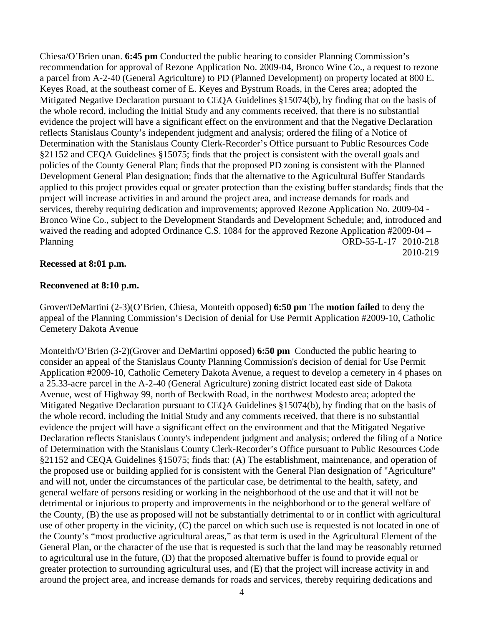Chiesa/O'Brien unan. **6:45 pm** Conducted the public hearing to consider Planning Commission's recommendation for approval of Rezone Application No. 2009-04, Bronco Wine Co., a request to rezone a parcel from A-2-40 (General Agriculture) to PD (Planned Development) on property located at 800 E. Keyes Road, at the southeast corner of E. Keyes and Bystrum Roads, in the Ceres area; adopted the Mitigated Negative Declaration pursuant to CEQA Guidelines §15074(b), by finding that on the basis of the whole record, including the Initial Study and any comments received, that there is no substantial evidence the project will have a significant effect on the environment and that the Negative Declaration reflects Stanislaus County's independent judgment and analysis; ordered the filing of a Notice of Determination with the Stanislaus County Clerk-Recorder's Office pursuant to Public Resources Code §21152 and CEQA Guidelines §15075; finds that the project is consistent with the overall goals and policies of the County General Plan; finds that the proposed PD zoning is consistent with the Planned Development General Plan designation; finds that the alternative to the Agricultural Buffer Standards applied to this project provides equal or greater protection than the existing buffer standards; finds that the project will increase activities in and around the project area, and increase demands for roads and services, thereby requiring dedication and improvements; approved Rezone Application No. 2009-04 - Bronco Wine Co., subject to the Development Standards and Development Schedule; and, introduced and waived the reading and adopted Ordinance C.S. 1084 for the approved Rezone Application #2009-04 – Planning ORD-55-L-17 2010-218 2010-219

## **Recessed at 8:01 p.m.**

## **Reconvened at 8:10 p.m.**

Grover/DeMartini (2-3)(O'Brien, Chiesa, Monteith opposed) **6:50 pm** The **motion failed** to deny the appeal of the Planning Commission's Decision of denial for Use Permit Application #2009-10, Catholic Cemetery Dakota Avenue

Monteith/O'Brien (3-2)(Grover and DeMartini opposed) **6:50 pm** Conducted the public hearing to consider an appeal of the Stanislaus County Planning Commission's decision of denial for Use Permit Application #2009-10, Catholic Cemetery Dakota Avenue, a request to develop a cemetery in 4 phases on a 25.33-acre parcel in the A-2-40 (General Agriculture) zoning district located east side of Dakota Avenue, west of Highway 99, north of Beckwith Road, in the northwest Modesto area; adopted the Mitigated Negative Declaration pursuant to CEQA Guidelines §15074(b), by finding that on the basis of the whole record, including the Initial Study and any comments received, that there is no substantial evidence the project will have a significant effect on the environment and that the Mitigated Negative Declaration reflects Stanislaus County's independent judgment and analysis; ordered the filing of a Notice of Determination with the Stanislaus County Clerk-Recorder's Office pursuant to Public Resources Code §21152 and CEQA Guidelines §15075; finds that: (A) The establishment, maintenance, and operation of the proposed use or building applied for is consistent with the General Plan designation of "Agriculture" and will not, under the circumstances of the particular case, be detrimental to the health, safety, and general welfare of persons residing or working in the neighborhood of the use and that it will not be detrimental or injurious to property and improvements in the neighborhood or to the general welfare of the County, (B) the use as proposed will not be substantially detrimental to or in conflict with agricultural use of other property in the vicinity, (C) the parcel on which such use is requested is not located in one of the County's "most productive agricultural areas," as that term is used in the Agricultural Element of the General Plan, or the character of the use that is requested is such that the land may be reasonably returned to agricultural use in the future, (D) that the proposed alternative buffer is found to provide equal or greater protection to surrounding agricultural uses, and (E) that the project will increase activity in and around the project area, and increase demands for roads and services, thereby requiring dedications and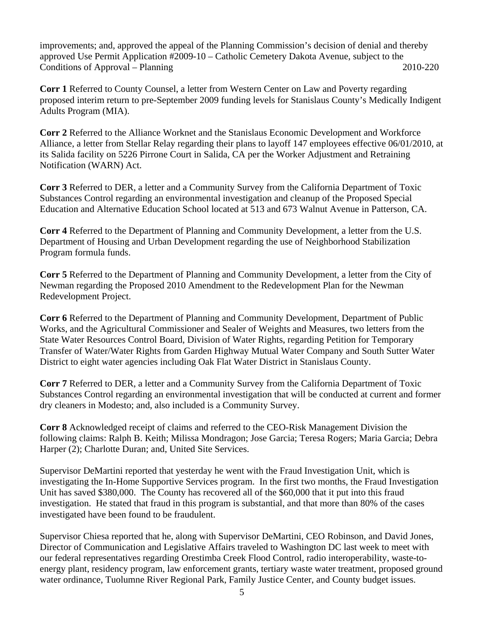improvements; and, approved the appeal of the Planning Commission's decision of denial and thereby approved Use Permit Application #2009-10 – Catholic Cemetery Dakota Avenue, subject to the Conditions of Approval – Planning 2010-220

**Corr 1** Referred to County Counsel, a letter from Western Center on Law and Poverty regarding proposed interim return to pre-September 2009 funding levels for Stanislaus County's Medically Indigent Adults Program (MIA).

**Corr 2** Referred to the Alliance Worknet and the Stanislaus Economic Development and Workforce Alliance, a letter from Stellar Relay regarding their plans to layoff 147 employees effective 06/01/2010, at its Salida facility on 5226 Pirrone Court in Salida, CA per the Worker Adjustment and Retraining Notification (WARN) Act.

**Corr 3** Referred to DER, a letter and a Community Survey from the California Department of Toxic Substances Control regarding an environmental investigation and cleanup of the Proposed Special Education and Alternative Education School located at 513 and 673 Walnut Avenue in Patterson, CA.

**Corr 4** Referred to the Department of Planning and Community Development, a letter from the U.S. Department of Housing and Urban Development regarding the use of Neighborhood Stabilization Program formula funds.

**Corr 5** Referred to the Department of Planning and Community Development, a letter from the City of Newman regarding the Proposed 2010 Amendment to the Redevelopment Plan for the Newman Redevelopment Project.

**Corr 6** Referred to the Department of Planning and Community Development, Department of Public Works, and the Agricultural Commissioner and Sealer of Weights and Measures, two letters from the State Water Resources Control Board, Division of Water Rights, regarding Petition for Temporary Transfer of Water/Water Rights from Garden Highway Mutual Water Company and South Sutter Water District to eight water agencies including Oak Flat Water District in Stanislaus County.

**Corr 7** Referred to DER, a letter and a Community Survey from the California Department of Toxic Substances Control regarding an environmental investigation that will be conducted at current and former dry cleaners in Modesto; and, also included is a Community Survey.

**Corr 8** Acknowledged receipt of claims and referred to the CEO-Risk Management Division the following claims: Ralph B. Keith; Milissa Mondragon; Jose Garcia; Teresa Rogers; Maria Garcia; Debra Harper (2); Charlotte Duran; and, United Site Services.

Supervisor DeMartini reported that yesterday he went with the Fraud Investigation Unit, which is investigating the In-Home Supportive Services program. In the first two months, the Fraud Investigation Unit has saved \$380,000. The County has recovered all of the \$60,000 that it put into this fraud investigation. He stated that fraud in this program is substantial, and that more than 80% of the cases investigated have been found to be fraudulent.

Supervisor Chiesa reported that he, along with Supervisor DeMartini, CEO Robinson, and David Jones, Director of Communication and Legislative Affairs traveled to Washington DC last week to meet with our federal representatives regarding Orestimba Creek Flood Control, radio interoperability, waste-toenergy plant, residency program, law enforcement grants, tertiary waste water treatment, proposed ground water ordinance, Tuolumne River Regional Park, Family Justice Center, and County budget issues.